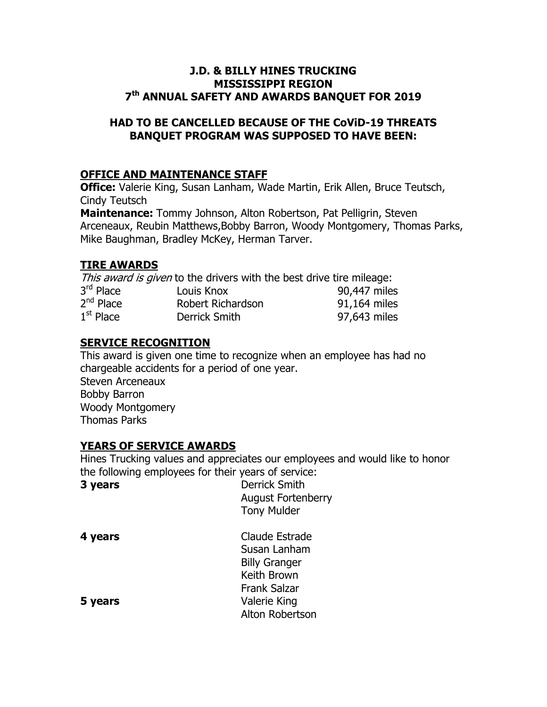### J.D. & BILLY HINES TRUCKING MISSISSIPPI REGION 7 th ANNUAL SAFETY AND AWARDS BANQUET FOR 2019

### HAD TO BE CANCELLED BECAUSE OF THE CoViD-19 THREATS BANQUET PROGRAM WAS SUPPOSED TO HAVE BEEN:

### OFFICE AND MAINTENANCE STAFF

**Office:** Valerie King, Susan Lanham, Wade Martin, Erik Allen, Bruce Teutsch, Cindy Teutsch

Maintenance: Tommy Johnson, Alton Robertson, Pat Pelligrin, Steven Arceneaux, Reubin Matthews,Bobby Barron, Woody Montgomery, Thomas Parks, Mike Baughman, Bradley McKey, Herman Tarver.

### TIRE AWARDS

This award is given to the drivers with the best drive tire mileage: 3rd Place Louis Knox 100,447 miles 2<sup>nd</sup> Place Robert Richardson 91,164 miles  $1<sup>st</sup>$  Place Derrick Smith 97,643 miles

## SERVICE RECOGNITION

This award is given one time to recognize when an employee has had no chargeable accidents for a period of one year. Steven Arceneaux Bobby Barron Woody Montgomery Thomas Parks

### YEARS OF SERVICE AWARDS

Hines Trucking values and appreciates our employees and would like to honor the following employees for their years of service:

| 3 years | <b>Derrick Smith</b><br><b>August Fortenberry</b><br><b>Tony Mulder</b> |
|---------|-------------------------------------------------------------------------|
|         |                                                                         |
| 4 years | Claude Estrade                                                          |
|         | Susan Lanham                                                            |
|         | <b>Billy Granger</b>                                                    |
|         | Keith Brown                                                             |
|         | <b>Frank Salzar</b>                                                     |
| 5 years | Valerie King                                                            |
|         | Alton Robertson                                                         |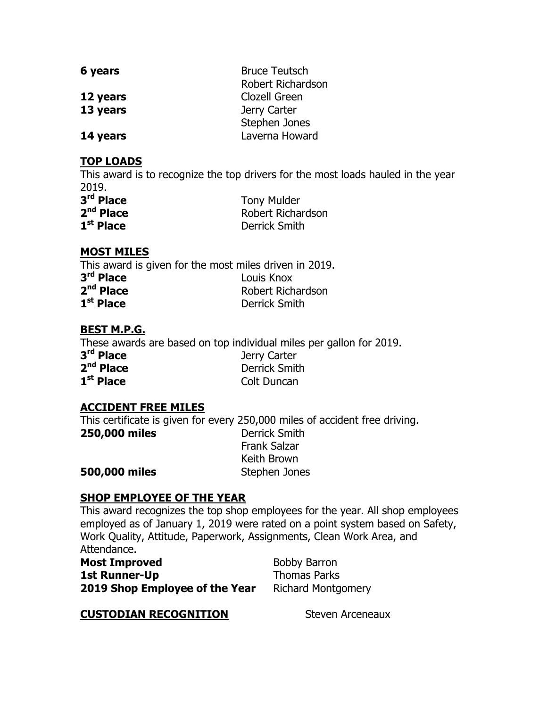| 6 years  | <b>Bruce Teutsch</b>     |
|----------|--------------------------|
|          | <b>Robert Richardson</b> |
| 12 years | Clozell Green            |
| 13 years | Jerry Carter             |
|          | Stephen Jones            |
| 14 years | Laverna Howard           |

### TOP LOADS

This award is to recognize the top drivers for the most loads hauled in the year 2019.

| 3 <sup>rd</sup> Place | <b>Tony Mulder</b>   |
|-----------------------|----------------------|
| $2nd$ Place           | Robert Richardson    |
| $1st$ Place           | <b>Derrick Smith</b> |

# MOST MILES

This award is given for the most miles driven in 2019. 3<sup>rd</sup> Place **Louis Knox** 2<sup>nd</sup> Place Robert Richardson  $1<sup>st</sup>$  Place Derrick Smith

## BEST M.P.G.

These awards are based on top individual miles per gallon for 2019.

| 3 <sup>rd</sup> Place | Jerry Carter         |
|-----------------------|----------------------|
| 2 <sup>nd</sup> Place | <b>Derrick Smith</b> |
| $1st$ Place           | Colt Duncan          |

# ACCIDENT FREE MILES

This certificate is given for every 250,000 miles of accident free driving. 250,000 miles Derrick Smith Frank Salzar Keith Brown **500,000 miles** Stephen Jones

### SHOP EMPLOYEE OF THE YEAR

This award recognizes the top shop employees for the year. All shop employees employed as of January 1, 2019 were rated on a point system based on Safety, Work Quality, Attitude, Paperwork, Assignments, Clean Work Area, and Attendance.

| <b>Most Improved</b>           |
|--------------------------------|
| <b>1st Runner-Up</b>           |
| 2019 Shop Employee of the Year |

Bobby Barron Thomas Parks Richard Montgomery

# **CUSTODIAN RECOGNITION** Steven Arceneaux